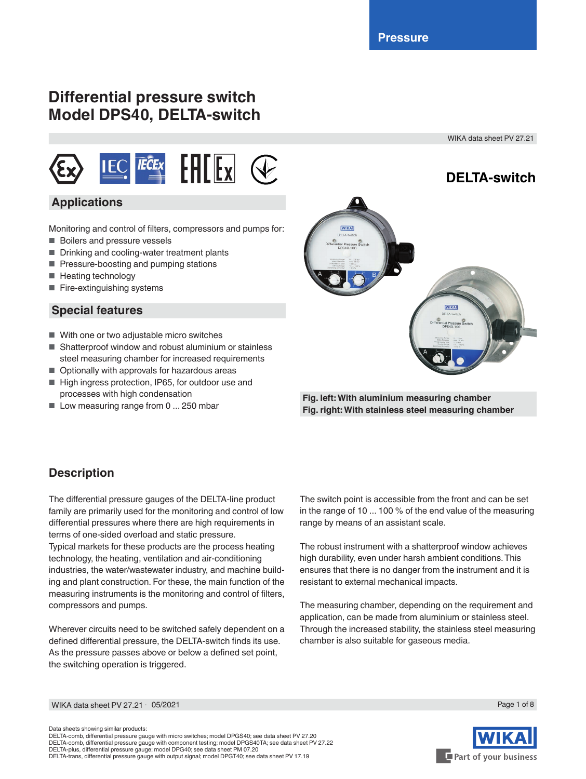# **Differential pressure switch Model DPS40, DELTA-switch**

WIKA data sheet PV 27.21



### **Applications**

Monitoring and control of filters, compressors and pumps for:

- Boilers and pressure vessels
- Drinking and cooling-water treatment plants
- Pressure-boosting and pumping stations
- Heating technology
- Fire-extinguishing systems

#### **Special features**

- With one or two adjustable micro switches
- Shatterproof window and robust aluminium or stainless steel measuring chamber for increased requirements
- Optionally with approvals for hazardous areas
- High ingress protection, IP65, for outdoor use and processes with high condensation
- Low measuring range from 0 ... 250 mbar



**Fig. left: With aluminium measuring chamber Fig. right: With stainless steel measuring chamber**

### **Description**

The differential pressure gauges of the DELTA-line product family are primarily used for the monitoring and control of low differential pressures where there are high requirements in terms of one-sided overload and static pressure.

Typical markets for these products are the process heating technology, the heating, ventilation and air-conditioning industries, the water/wastewater industry, and machine building and plant construction. For these, the main function of the measuring instruments is the monitoring and control of filters, compressors and pumps.

Wherever circuits need to be switched safely dependent on a defined differential pressure, the DELTA-switch finds its use. As the pressure passes above or below a defined set point, the switching operation is triggered.

The switch point is accessible from the front and can be set in the range of 10 ... 100 % of the end value of the measuring range by means of an assistant scale.

The robust instrument with a shatterproof window achieves high durability, even under harsh ambient conditions. This ensures that there is no danger from the instrument and it is resistant to external mechanical impacts.

The measuring chamber, depending on the requirement and application, can be made from aluminium or stainless steel. Through the increased stability, the stainless steel measuring chamber is also suitable for gaseous media.

WIKA data sheet PV 27.21 ∙ 05/2021

Data sheets showing similar products:

DELTA-comb, differential pressure gauge with micro switches; model DPGS40; see data sheet PV 27.20 DELTA-comb, differential pressure gauge with component testing; model DPGS40TA; see data sheet PV 27.22 DELTA-plus, differential pressure gauge; model DPG40; see data sheet PM 07.20 DELTA-trans, differential pressure gauge with output signal; model DPGT40; see data sheet PV 17.19



Page 1 of 8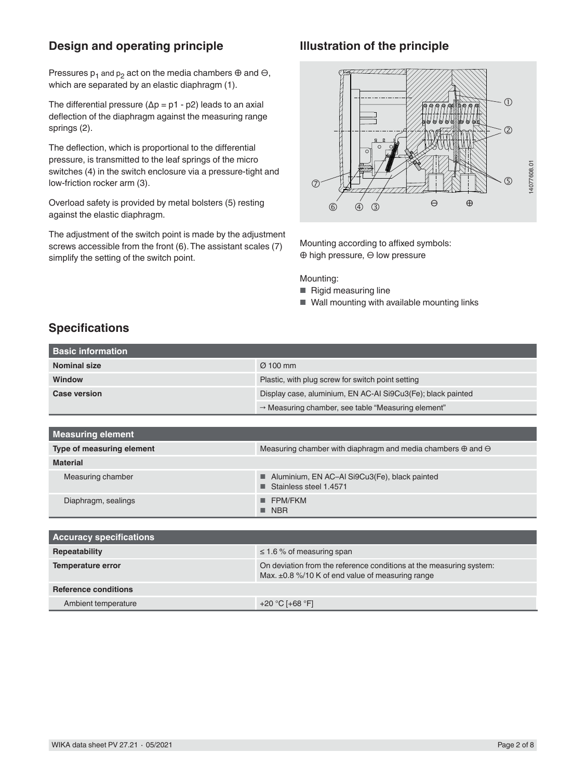### **Design and operating principle**

Pressures  $p_1$  and  $p_2$  act on the media chambers  $\oplus$  and  $\ominus$ , which are separated by an elastic diaphragm (1).

The differential pressure ( $\Delta p = p1 - p2$ ) leads to an axial deflection of the diaphragm against the measuring range springs (2).

The deflection, which is proportional to the differential pressure, is transmitted to the leaf springs of the micro switches (4) in the switch enclosure via a pressure-tight and low-friction rocker arm (3).

Overload safety is provided by metal bolsters (5) resting against the elastic diaphragm.

The adjustment of the switch point is made by the adjustment screws accessible from the front (6). The assistant scales (7) simplify the setting of the switch point.

### **Illustration of the principle**



Mounting according to affixed symbols: ⊕ high pressure, ⊖ low pressure

Mounting:

- Rigid measuring line
- Wall mounting with available mounting links

# **Specifications**

| <b>Basic information</b>       |                                                                                                                              |  |  |
|--------------------------------|------------------------------------------------------------------------------------------------------------------------------|--|--|
| <b>Nominal size</b>            | $Ø$ 100 mm                                                                                                                   |  |  |
| Window                         | Plastic, with plug screw for switch point setting                                                                            |  |  |
| <b>Case version</b>            | Display case, aluminium, EN AC-AI Si9Cu3(Fe); black painted                                                                  |  |  |
|                                | A Measuring chamber, see table "Measuring element"                                                                           |  |  |
|                                |                                                                                                                              |  |  |
| <b>Measuring element</b>       |                                                                                                                              |  |  |
| Type of measuring element      | Measuring chamber with diaphragm and media chambers $\oplus$ and $\ominus$                                                   |  |  |
| <b>Material</b>                |                                                                                                                              |  |  |
| Measuring chamber              | Aluminium, EN AC-Al Si9Cu3(Fe), black painted<br>■<br>Stainless steel 1.4571                                                 |  |  |
| Diaphragm, sealings            | <b>FPM/FKM</b><br><b>NBR</b>                                                                                                 |  |  |
|                                |                                                                                                                              |  |  |
| <b>Accuracy specifications</b> |                                                                                                                              |  |  |
| Repeatability                  | $\leq$ 1.6 % of measuring span                                                                                               |  |  |
| <b>Temperature error</b>       | On deviation from the reference conditions at the measuring system:<br>Max. $\pm$ 0.8 %/10 K of end value of measuring range |  |  |
| <b>Reference conditions</b>    |                                                                                                                              |  |  |
| Ambient temperature            | +20 °C [+68 °F]                                                                                                              |  |  |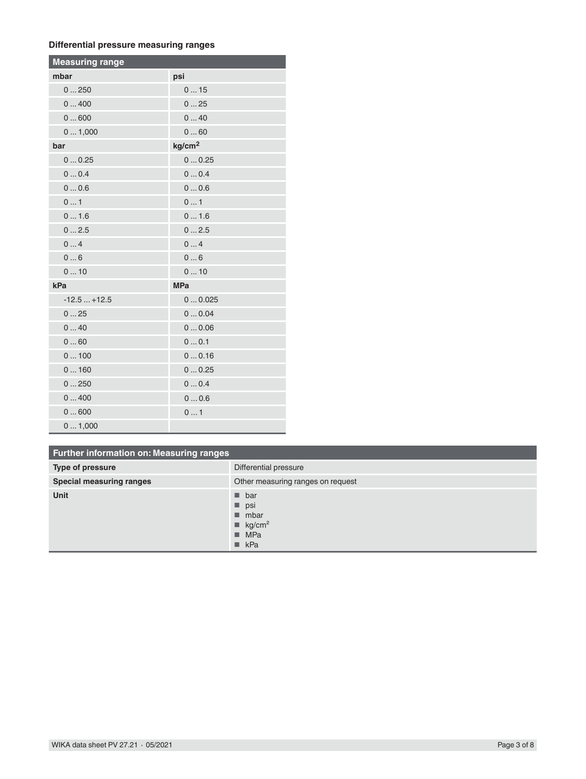#### **Differential pressure measuring ranges**

| <b>Measuring range</b> |                    |  |  |
|------------------------|--------------------|--|--|
| mbar                   | psi                |  |  |
| 0250                   | 015                |  |  |
| 0400                   | 025                |  |  |
| 0600                   | 040                |  |  |
| 01,000                 | 060                |  |  |
| bar                    | kg/cm <sup>2</sup> |  |  |
| 00.25                  | 00.25              |  |  |
| 00.4                   | 00.4               |  |  |
| 00.6                   | 00.6               |  |  |
| 01                     | 01                 |  |  |
| 01.6                   | 01.6               |  |  |
| 02.5                   | 02.5               |  |  |
| 04                     | 04                 |  |  |
| 06                     | 06                 |  |  |
| 010                    | 010                |  |  |
| kPa                    | <b>MPa</b>         |  |  |
| $-12.5+12.5$           | 00.025             |  |  |
| 025                    | 00.04              |  |  |
| 040                    | 00.06              |  |  |
| 060                    | 00.1               |  |  |
| 0100                   | 00.16              |  |  |
| 0160                   | 00.25              |  |  |
| 0250                   | 00.4               |  |  |
| 0400                   | 00.6               |  |  |
| 0600                   | 01                 |  |  |
| 01,000                 |                    |  |  |

# **Further information on: Measuring ranges**

| Type of pressure                | Differential pressure                                                                                                                   |  |
|---------------------------------|-----------------------------------------------------------------------------------------------------------------------------------------|--|
| <b>Special measuring ranges</b> | Other measuring ranges on request                                                                                                       |  |
| <b>Unit</b>                     | $\blacksquare$ bar<br>$\blacksquare$ psi<br>$\blacksquare$ mbar<br>$\blacksquare$ kg/cm <sup>2</sup><br>$M^2$ MPa<br>$\blacksquare$ kPa |  |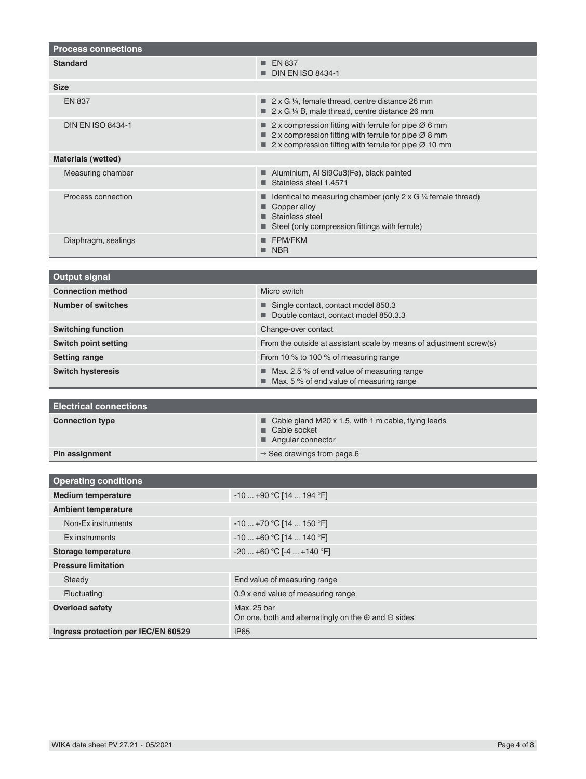| <b>Process connections</b>          |                                                                                                                                                                                                 |  |  |
|-------------------------------------|-------------------------------------------------------------------------------------------------------------------------------------------------------------------------------------------------|--|--|
| <b>Standard</b>                     | <b>EN 837</b><br><b>DIN EN ISO 8434-1</b>                                                                                                                                                       |  |  |
| <b>Size</b>                         |                                                                                                                                                                                                 |  |  |
| <b>EN 837</b>                       | $\blacksquare$ 2 x G 1/4, female thread, centre distance 26 mm<br>■ 2 x G 1/4 B, male thread, centre distance 26 mm                                                                             |  |  |
| <b>DIN EN ISO 8434-1</b>            | 2 x compression fitting with ferrule for pipe $\varnothing$ 6 mm<br>■ 2 x compression fitting with ferrule for pipe Ø 8 mm<br>2 x compression fitting with ferrule for pipe $\varnothing$ 10 mm |  |  |
| <b>Materials (wetted)</b>           |                                                                                                                                                                                                 |  |  |
| Measuring chamber                   | Aluminium, Al Si9Cu3(Fe), black painted<br>Stainless steel 1.4571                                                                                                                               |  |  |
| Process connection                  | Identical to measuring chamber (only $2 \times G$ 1/4 female thread)<br>Copper alloy<br>Stainless steel<br>Steel (only compression fittings with ferrule)                                       |  |  |
| Diaphragm, sealings                 | <b>FPM/FKM</b><br><b>NBR</b><br>■                                                                                                                                                               |  |  |
|                                     |                                                                                                                                                                                                 |  |  |
| <b>Output signal</b>                |                                                                                                                                                                                                 |  |  |
| <b>Connection method</b>            | Micro switch                                                                                                                                                                                    |  |  |
| <b>Number of switches</b>           | Single contact, contact model 850.3<br>Double contact, contact model 850.3.3                                                                                                                    |  |  |
| <b>Switching function</b>           | Change-over contact                                                                                                                                                                             |  |  |
| <b>Switch point setting</b>         | From the outside at assistant scale by means of adjustment screw(s)                                                                                                                             |  |  |
| <b>Setting range</b>                | From 10 % to 100 % of measuring range                                                                                                                                                           |  |  |
| <b>Switch hysteresis</b>            | $\blacksquare$ Max. 2.5 % of end value of measuring range<br>■ Max. 5 % of end value of measuring range                                                                                         |  |  |
| <b>Electrical connections</b>       |                                                                                                                                                                                                 |  |  |
| <b>Connection type</b>              | Cable gland M20 x 1.5, with 1 m cable, flying leads                                                                                                                                             |  |  |
|                                     | Cable socket                                                                                                                                                                                    |  |  |
|                                     | Angular connector                                                                                                                                                                               |  |  |
| Pin assignment                      | $\rightarrow$ See drawings from page 6                                                                                                                                                          |  |  |
| <b>Operating conditions</b>         |                                                                                                                                                                                                 |  |  |
| <b>Medium temperature</b>           | $-10+90$ °C [14  194 °F]                                                                                                                                                                        |  |  |
| <b>Ambient temperature</b>          |                                                                                                                                                                                                 |  |  |
| Non-Ex instruments                  | $-10+70$ °C [14  150 °F]                                                                                                                                                                        |  |  |
| Ex instruments                      | $-10+60 °C$ [14  140 °F]                                                                                                                                                                        |  |  |
| <b>Storage temperature</b>          | $-20+60 °C$ [ $-4+140 °F$ ]                                                                                                                                                                     |  |  |
| <b>Pressure limitation</b>          |                                                                                                                                                                                                 |  |  |
| Steady                              | End value of measuring range                                                                                                                                                                    |  |  |
| Fluctuating                         | 0.9 x end value of measuring range                                                                                                                                                              |  |  |
| <b>Overload safety</b>              | Max. 25 bar                                                                                                                                                                                     |  |  |
| Ingress protection per IEC/EN 60529 | On one, both and alternatingly on the $\oplus$ and $\ominus$ sides<br><b>IP65</b>                                                                                                               |  |  |
|                                     |                                                                                                                                                                                                 |  |  |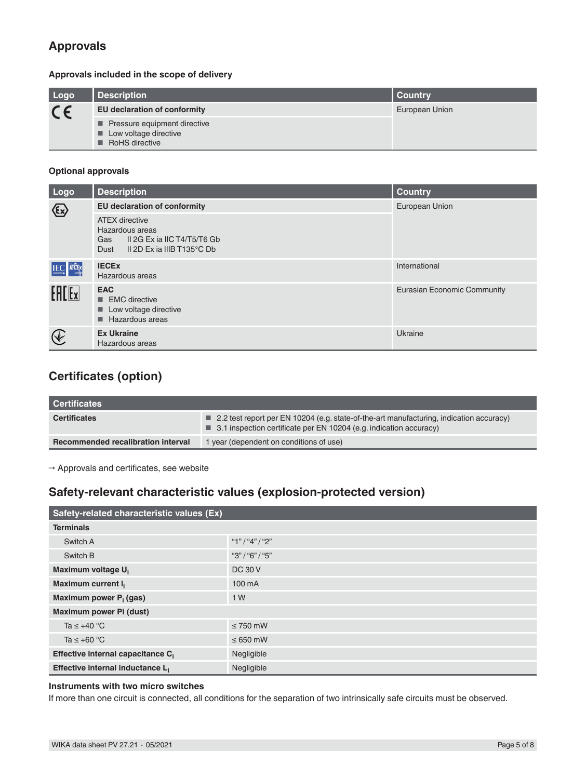# **Approvals**

#### **Approvals included in the scope of delivery**

| Logo    | Description                                                             | Country        |  |
|---------|-------------------------------------------------------------------------|----------------|--|
| $C \in$ | <b>EU declaration of conformity</b>                                     | European Union |  |
|         | Pressure equipment directive<br>Low voltage directive<br>RoHS directive |                |  |

#### **Optional approvals**

| Logo                                    | <b>Description</b>                                                                                                   | <b>Country</b>              |
|-----------------------------------------|----------------------------------------------------------------------------------------------------------------------|-----------------------------|
| $\langle \overline{\mathbb{E}} \rangle$ | <b>EU declaration of conformity</b>                                                                                  | European Union              |
|                                         | <b>ATEX directive</b><br>Hazardous areas<br>II 2G Ex ia IIC T4/T5/T6 Gb<br>Gas<br>Il 2D Ex ia IIIB T135°C Db<br>Dust |                             |
| <b>IEC</b> ECEX                         | <b>IECEX</b><br>Hazardous areas                                                                                      | International               |
| $F = F$                                 | <b>EAC</b><br>$\blacksquare$ EMC directive<br>Low voltage directive<br>ш<br>Hazardous areas<br>ш                     | Eurasian Economic Community |
| $\bigcircled{\!\!\!} \,$                | <b>Ex Ukraine</b><br>Hazardous areas                                                                                 | Ukraine                     |

# **Certificates (option)**

| <b>Certificates</b>                |                                                                                                                                                                              |
|------------------------------------|------------------------------------------------------------------------------------------------------------------------------------------------------------------------------|
| <b>Certificates</b>                | 2.2 test report per EN 10204 (e.g. state-of-the-art manufacturing, indication accuracy)<br>$\blacksquare$ 3.1 inspection certificate per EN 10204 (e.g. indication accuracy) |
| Recommended recalibration interval | 1 year (dependent on conditions of use)                                                                                                                                      |

 $\rightarrow$  Approvals and certificates, see website

### **Safety-relevant characteristic values (explosion-protected version)**

| Safety-related characteristic values (Ex)     |                 |  |
|-----------------------------------------------|-----------------|--|
| <b>Terminals</b>                              |                 |  |
| Switch A                                      | "1"/"4"/"2"     |  |
| Switch B                                      | "3" / "6" / "5" |  |
| Maximum voltage U <sub>i</sub>                | <b>DC 30 V</b>  |  |
| Maximum current I <sub>i</sub>                | 100 mA          |  |
| Maximum power P <sub>i</sub> (gas)            | 1 W             |  |
| Maximum power Pi (dust)                       |                 |  |
| Ta $\leq$ +40 °C                              | $\leq$ 750 mW   |  |
| Ta $\leq$ +60 °C                              | $\leq 650$ mW   |  |
| Effective internal capacitance C <sub>i</sub> | Negligible      |  |
| Effective internal inductance L <sub>i</sub>  | Negligible      |  |

#### **Instruments with two micro switches**

If more than one circuit is connected, all conditions for the separation of two intrinsically safe circuits must be observed.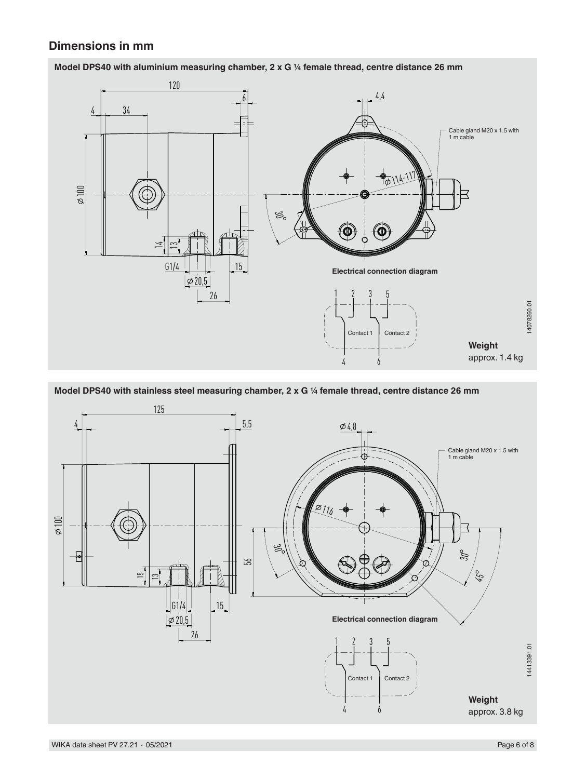### **Dimensions in mm**



**Model DPS40 with aluminium measuring chamber, 2 x G ¼ female thread, centre distance 26 mm**

**Model DPS40 with stainless steel measuring chamber, 2 x G ¼ female thread, centre distance 26 mm**

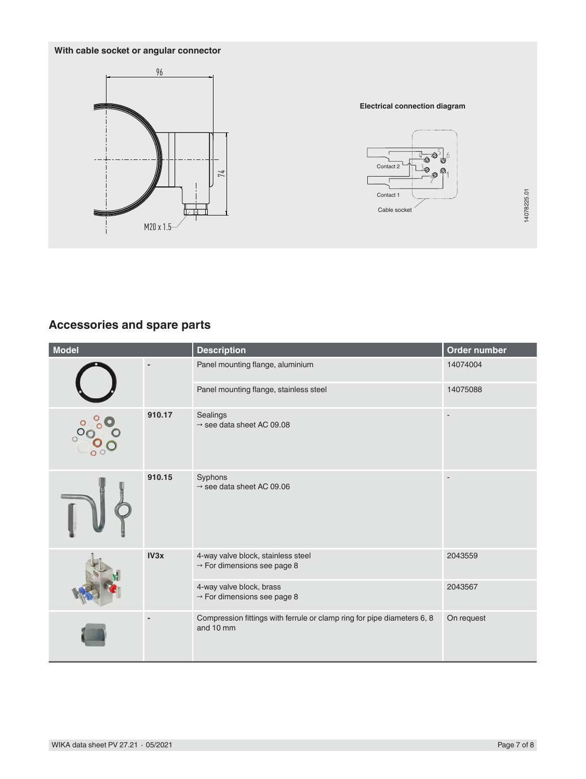### **With cable socket or angular connector**



#### **Electrical connection diagram**



## **Accessories and spare parts**

|                                    | M20 x 1.5                |                                                                                      | Contact 1<br>Cable socket | 14078225.01              |
|------------------------------------|--------------------------|--------------------------------------------------------------------------------------|---------------------------|--------------------------|
| <b>Accessories and spare parts</b> |                          |                                                                                      |                           |                          |
| <b>Model</b>                       |                          | <b>Description</b>                                                                   |                           | Order number             |
|                                    |                          | Panel mounting flange, aluminium                                                     |                           | 14074004                 |
|                                    |                          | Panel mounting flange, stainless steel                                               |                           | 14075088                 |
|                                    | 910.17                   | Sealings<br>$\rightarrow$ see data sheet AC 09.08                                    |                           |                          |
|                                    | 910.15                   | Syphons<br>$\rightarrow$ see data sheet AC 09.06                                     |                           | $\overline{\phantom{a}}$ |
|                                    | IV3x                     | 4-way valve block, stainless steel<br>$\rightarrow$ For dimensions see page 8        |                           | 2043559                  |
|                                    |                          | 4-way valve block, brass<br>$\rightarrow$ For dimensions see page 8                  |                           | 2043567                  |
|                                    | $\overline{\phantom{a}}$ | Compression fittings with ferrule or clamp ring for pipe diameters 6, 8<br>and 10 mm |                           | On request               |
| WIKA data sheet PV 27.21 · 05/2021 |                          |                                                                                      |                           | Page 7 of 8              |